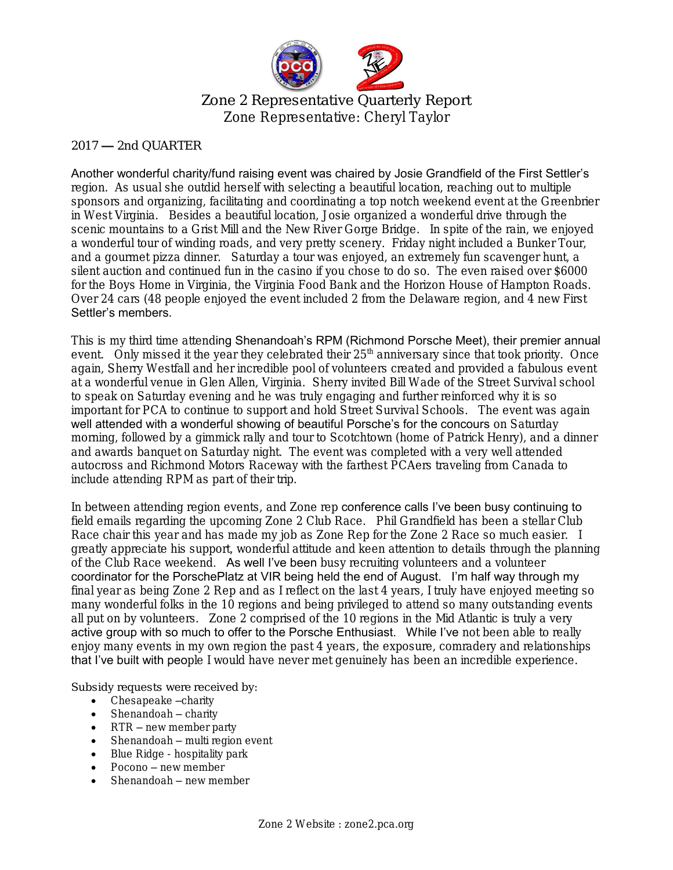

Zone 2 Representative Quarterly Report Zone Representative: Cheryl Taylor

## $2017 - 2$ nd OUARTER

## Another wonderful charity/fund raising event was chaired by Josie Grandfield of the First Settler's

region. As usual she outdid herself with selecting a beautiful location, reaching out to multiple sponsors and organizing, facilitating and coordinating a top notch weekend event at the Greenbrier in West Virginia. Besides a beautiful location, Josie organized a wonderful drive through the scenic mountains to a Grist Mill and the New River Gorge Bridge. In spite of the rain, we enjoyed a wonderful tour of winding roads, and very pretty scenery. Friday night included a Bunker Tour, and a gourmet pizza dinner. Saturday a tour was enjoyed, an extremely fun scavenger hunt, a silent auction and continued fun in the casino if you chose to do so. The even raised over \$6000 for the Boys Home in Virginia, the Virginia Food Bank and the Horizon House of Hampton Roads. Over 24 cars (48 people enjoyed the event included 2 from the Delaware region, and 4 new First Settler's members.

This is my third time attending Shenandoah's RPM (Richmond Porsche Meet), their premier annual event. Only missed it the year they celebrated their 25<sup>th</sup> anniversary since that took priority. Once again, Sherry Westfall and her incredible pool of volunteers created and provided a fabulous event at a wonderful venue in Glen Allen, Virginia. Sherry invited Bill Wade of the Street Survival school to speak on Saturday evening and he was truly engaging and further reinforced why it is so important for PCA to continue to support and hold Street Survival Schools. The event was again well attended with a wonderful showing of beautiful Porsche's for the concours on Saturday morning, followed by a gimmick rally and tour to Scotchtown (home of Patrick Henry), and a dinner and awards banquet on Saturday night. The event was completed with a very well attended autocross and Richmond Motors Raceway with the farthest PCAers traveling from Canada to include attending RPM as part of their trip.

In between attending region events, and Zone rep conference calls I've been busy continuing to field emails regarding the upcoming Zone 2 Club Race. Phil Grandfield has been a stellar Club Race chair this year and has made my job as Zone Rep for the Zone 2 Race so much easier. I greatly appreciate his support, wonderful attitude and keen attention to details through the planning of the Club Race weekend. As well I've been busy recruiting volunteers and a volunteer coordinator for the PorschePlatz at VIR being held the end of August. I'm half way through my final year as being Zone 2 Rep and as I reflect on the last 4 years, I truly have enjoyed meeting so many wonderful folks in the 10 regions and being privileged to attend so many outstanding events all put on by volunteers. Zone 2 comprised of the 10 regions in the Mid Atlantic is truly a very active group with so much to offer to the Porsche Enthusiast. While I've not been able to really enjoy many events in my own region the past 4 years, the exposure, comradery and relationships that I've built with people I would have never met genuinely has been an incredible experience.

Subsidy requests were received by:

- Chesapeake –charity
- $\bullet$  Shenandoah charity
- RTR new member party
- Shenandoah multi region event
- Blue Ridge hospitality park
- Pocono new member
- Shenandoah new member